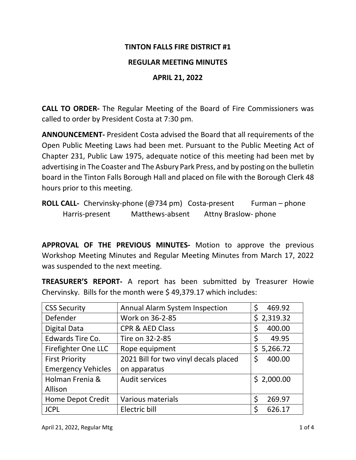### **TINTON FALLS FIRE DISTRICT #1**

### **REGULAR MEETING MINUTES**

## **APRIL 21, 2022**

**CALL TO ORDER-** The Regular Meeting of the Board of Fire Commissioners was called to order by President Costa at 7:30 pm.

**ANNOUNCEMENT-** President Costa advised the Board that all requirements of the Open Public Meeting Laws had been met. Pursuant to the Public Meeting Act of Chapter 231, Public Law 1975, adequate notice of this meeting had been met by advertising in The Coaster and The Asbury Park Press, and by posting on the bulletin board in the Tinton Falls Borough Hall and placed on file with the Borough Clerk 48 hours prior to this meeting.

**ROLL CALL-** Chervinsky-phone (@734 pm) Costa-present Furman – phone Harris-present Matthews-absent Attny Braslow- phone

**APPROVAL OF THE PREVIOUS MINUTES-** Motion to approve the previous Workshop Meeting Minutes and Regular Meeting Minutes from March 17, 2022 was suspended to the next meeting.

**TREASURER'S REPORT-** A report has been submitted by Treasurer Howie Chervinsky. Bills for the month were \$ 49,379.17 which includes:

| <b>CSS Security</b>       | <b>Annual Alarm System Inspection</b> | \$<br>469.92 |
|---------------------------|---------------------------------------|--------------|
| Defender                  | Work on 36-2-85                       | \$2,319.32   |
| Digital Data              | <b>CPR &amp; AED Class</b>            | \$<br>400.00 |
| Edwards Tire Co.          | Tire on 32-2-85                       | \$<br>49.95  |
| Firefighter One LLC       | Rope equipment                        | \$5,266.72   |
| <b>First Priority</b>     | 2021 Bill for two vinyl decals placed | \$<br>400.00 |
| <b>Emergency Vehicles</b> | on apparatus                          |              |
| Holman Frenia &           | <b>Audit services</b>                 | \$2,000.00   |
| Allison                   |                                       |              |
| <b>Home Depot Credit</b>  | <b>Various materials</b>              | 269.97       |
| <b>JCPL</b>               | Electric bill                         | 626.17       |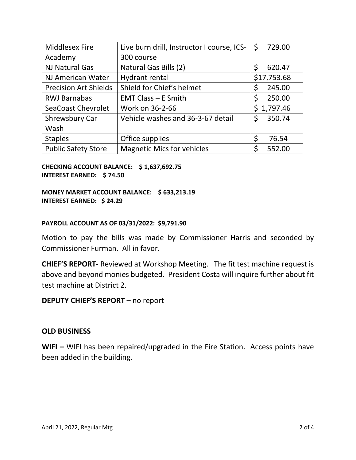| <b>Middlesex Fire</b>        | Live burn drill, Instructor I course, ICS- | \$<br>729.00   |
|------------------------------|--------------------------------------------|----------------|
| Academy                      | 300 course                                 |                |
| <b>NJ Natural Gas</b>        | Natural Gas Bills (2)                      | \$<br>620.47   |
| NJ American Water            | Hydrant rental                             | \$17,753.68    |
| <b>Precision Art Shields</b> | Shield for Chief's helmet                  | \$<br>245.00   |
| <b>RWJ Barnabas</b>          | <b>EMT Class <math>-</math> E Smith</b>    | \$<br>250.00   |
| SeaCoast Chevrolet           | Work on 36-2-66                            | 1,797.46<br>Ś. |
| Shrewsbury Car               | Vehicle washes and 36-3-67 detail          | Ś<br>350.74    |
| Wash                         |                                            |                |
| <b>Staples</b>               | Office supplies                            | \$<br>76.54    |
| <b>Public Safety Store</b>   | <b>Magnetic Mics for vehicles</b>          | S<br>552.00    |

**CHECKING ACCOUNT BALANCE: \$ 1,637,692.75 INTEREST EARNED: \$ 74.50**

**MONEY MARKET ACCOUNT BALANCE: \$ 633,213.19 INTEREST EARNED: \$ 24.29**

#### **PAYROLL ACCOUNT AS OF 03/31/2022: \$9,791.90**

Motion to pay the bills was made by Commissioner Harris and seconded by Commissioner Furman. All in favor.

**CHIEF'S REPORT-** Reviewed at Workshop Meeting. The fit test machine request is above and beyond monies budgeted. President Costa will inquire further about fit test machine at District 2.

**DEPUTY CHIEF'S REPORT –** no report

### **OLD BUSINESS**

**WIFI –** WIFI has been repaired/upgraded in the Fire Station. Access points have been added in the building.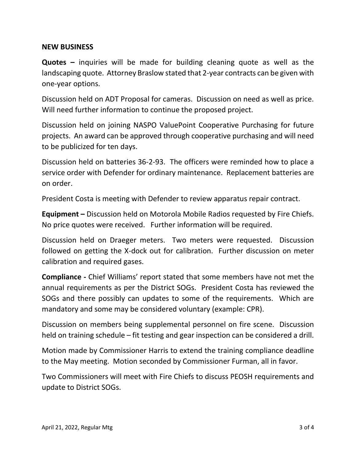### **NEW BUSINESS**

**Quotes –** inquiries will be made for building cleaning quote as well as the landscaping quote. Attorney Braslow stated that 2-year contracts can be given with one-year options.

Discussion held on ADT Proposal for cameras. Discussion on need as well as price. Will need further information to continue the proposed project.

Discussion held on joining NASPO ValuePoint Cooperative Purchasing for future projects. An award can be approved through cooperative purchasing and will need to be publicized for ten days.

Discussion held on batteries 36-2-93. The officers were reminded how to place a service order with Defender for ordinary maintenance. Replacement batteries are on order.

President Costa is meeting with Defender to review apparatus repair contract.

**Equipment –** Discussion held on Motorola Mobile Radios requested by Fire Chiefs. No price quotes were received. Further information will be required.

Discussion held on Draeger meters. Two meters were requested. Discussion followed on getting the X-dock out for calibration. Further discussion on meter calibration and required gases.

**Compliance -** Chief Williams' report stated that some members have not met the annual requirements as per the District SOGs. President Costa has reviewed the SOGs and there possibly can updates to some of the requirements. Which are mandatory and some may be considered voluntary (example: CPR).

Discussion on members being supplemental personnel on fire scene. Discussion held on training schedule – fit testing and gear inspection can be considered a drill.

Motion made by Commissioner Harris to extend the training compliance deadline to the May meeting. Motion seconded by Commissioner Furman, all in favor.

Two Commissioners will meet with Fire Chiefs to discuss PEOSH requirements and update to District SOGs.